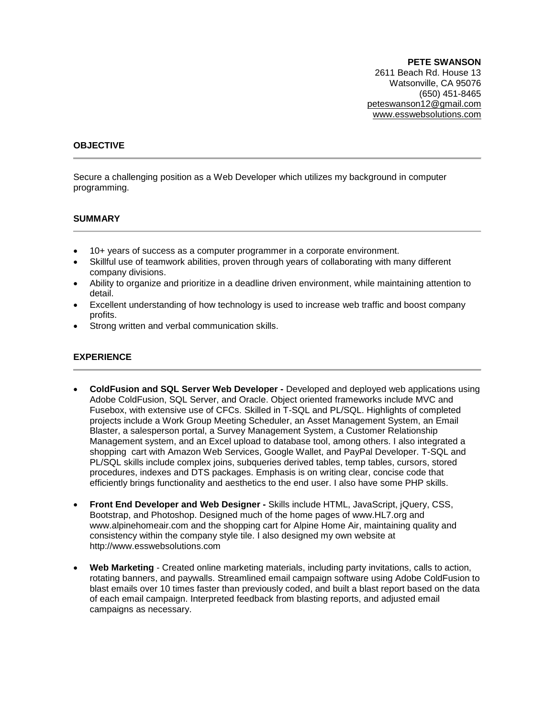**PETE SWANSON** 2611 Beach Rd. House 13 Watsonville, CA 95076 (650) 451-8465 peteswanson12@gmail.com www.esswebsolutions.com

### **OBJECTIVE**

Secure a challenging position as a Web Developer which utilizes my background in computer programming.

#### **SUMMARY**

- 10+ years of success as a computer programmer in a corporate environment.
- Skillful use of teamwork abilities, proven through years of collaborating with many different company divisions.
- Ability to organize and prioritize in a deadline driven environment, while maintaining attention to detail.
- Excellent understanding of how technology is used to increase web traffic and boost company profits.
- Strong written and verbal communication skills.

### **EXPERIENCE**

- **ColdFusion and SQL Server Web Developer -** Developed and deployed web applications using Adobe ColdFusion, SQL Server, and Oracle. Object oriented frameworks include MVC and Fusebox, with extensive use of CFCs. Skilled in T-SQL and PL/SQL. Highlights of completed projects include a Work Group Meeting Scheduler, an Asset Management System, an Email Blaster, a salesperson portal, a Survey Management System, a Customer Relationship Management system, and an Excel upload to database tool, among others. I also integrated a shopping cart with Amazon Web Services, Google Wallet, and PayPal Developer. T-SQL and PL/SQL skills include complex joins, subqueries derived tables, temp tables, cursors, stored procedures, indexes and DTS packages. Emphasis is on writing clear, concise code that efficiently brings functionality and aesthetics to the end user. I also have some PHP skills.
- **Front End Developer and Web Designer -** Skills include HTML, JavaScript, jQuery, CSS, Bootstrap, and Photoshop. Designed much of the home pages of www.HL7.org and www.alpinehomeair.com and the shopping cart for Alpine Home Air, maintaining quality and consistency within the company style tile. I also designed my own website at http://www.esswebsolutions.com
- **Web Marketing** Created online marketing materials, including party invitations, calls to action, rotating banners, and paywalls. Streamlined email campaign software using Adobe ColdFusion to blast emails over 10 times faster than previously coded, and built a blast report based on the data of each email campaign. Interpreted feedback from blasting reports, and adjusted email campaigns as necessary.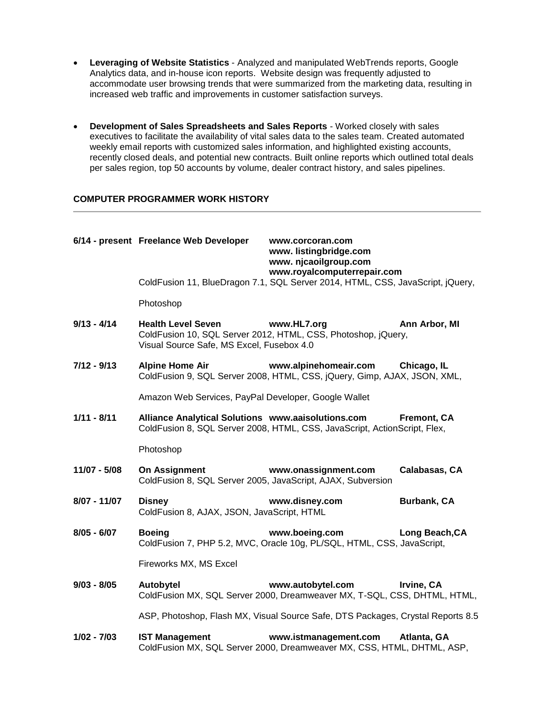- **Leveraging of Website Statistics** Analyzed and manipulated WebTrends reports, Google Analytics data, and in-house icon reports. Website design was frequently adjusted to accommodate user browsing trends that were summarized from the marketing data, resulting in increased web traffic and improvements in customer satisfaction surveys.
- **Development of Sales Spreadsheets and Sales Reports**  Worked closely with sales executives to facilitate the availability of vital sales data to the sales team. Created automated weekly email reports with customized sales information, and highlighted existing accounts, recently closed deals, and potential new contracts. Built online reports which outlined total deals per sales region, top 50 accounts by volume, dealer contract history, and sales pipelines.

## **COMPUTER PROGRAMMER WORK HISTORY**

|               | 6/14 - present Freelance Web Developer                                       | www.corcoran.com<br>www.listingbridge.com<br>www. njcaoilgroup.com<br>www.royalcomputerrepair.com             |                    |  |
|---------------|------------------------------------------------------------------------------|---------------------------------------------------------------------------------------------------------------|--------------------|--|
|               |                                                                              | ColdFusion 11, BlueDragon 7.1, SQL Server 2014, HTML, CSS, JavaScript, jQuery,                                |                    |  |
|               | Photoshop                                                                    |                                                                                                               |                    |  |
| $9/13 - 4/14$ | <b>Health Level Seven</b><br>Visual Source Safe, MS Excel, Fusebox 4.0       | www.HL7.org<br>ColdFusion 10, SQL Server 2012, HTML, CSS, Photoshop, jQuery,                                  | Ann Arbor, MI      |  |
| $7/12 - 9/13$ | <b>Alpine Home Air</b>                                                       | www.alpinehomeair.com Chicago, IL<br>ColdFusion 9, SQL Server 2008, HTML, CSS, jQuery, Gimp, AJAX, JSON, XML, |                    |  |
|               | Amazon Web Services, PayPal Developer, Google Wallet                         |                                                                                                               |                    |  |
| $1/11 - 8/11$ | Alliance Analytical Solutions www.aaisolutions.com                           | ColdFusion 8, SQL Server 2008, HTML, CSS, JavaScript, ActionScript, Flex,                                     | <b>Fremont, CA</b> |  |
|               | Photoshop                                                                    |                                                                                                               |                    |  |
| 11/07 - 5/08  | On Assignment<br>ColdFusion 8, SQL Server 2005, JavaScript, AJAX, Subversion | www.onassignment.com                                                                                          | Calabasas, CA      |  |
| 8/07 - 11/07  | <b>Disney</b><br>ColdFusion 8, AJAX, JSON, JavaScript, HTML                  | www.disney.com                                                                                                | <b>Burbank, CA</b> |  |
| $8/05 - 6/07$ | <b>Boeing</b>                                                                | www.boeing.com<br>ColdFusion 7, PHP 5.2, MVC, Oracle 10g, PL/SQL, HTML, CSS, JavaScript,                      | Long Beach, CA     |  |
|               | Fireworks MX, MS Excel                                                       |                                                                                                               |                    |  |
| $9/03 - 8/05$ | Autobytel                                                                    | www.autobytel.com<br>ColdFusion MX, SQL Server 2000, Dreamweaver MX, T-SQL, CSS, DHTML, HTML,                 | Irvine, CA         |  |
|               |                                                                              | ASP, Photoshop, Flash MX, Visual Source Safe, DTS Packages, Crystal Reports 8.5                               |                    |  |
| $1/02 - 7/03$ | <b>IST Management</b>                                                        | www.istmanagement.com<br>ColdFusion MX, SQL Server 2000, Dreamweaver MX, CSS, HTML, DHTML, ASP,               | Atlanta, GA        |  |